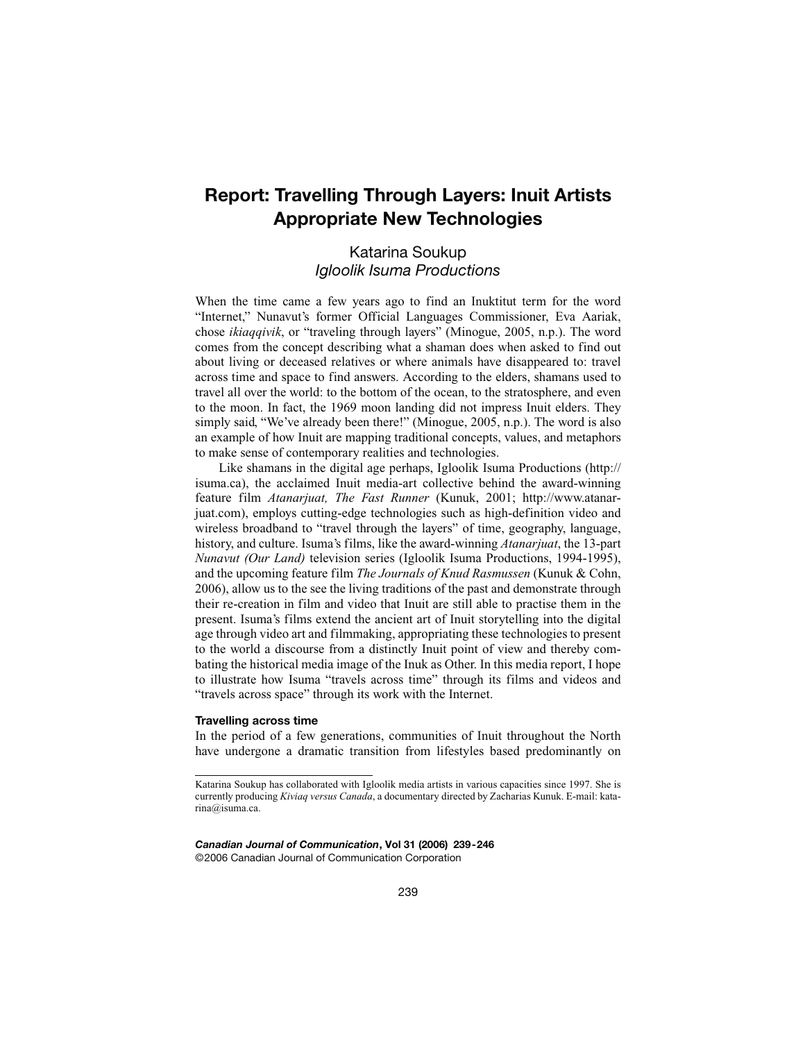# **Report: Travelling Through Layers: Inuit Artists Appropriate New Technologies**

## Katarina Soukup *Igloolik Isuma Productions*

When the time came a few years ago to find an Inuktitut term for the word "Internet," Nunavut's former Official Languages Commissioner, Eva Aariak, chose *ikiaqqivik*, or "traveling through layers" (Minogue, 2005, n.p.). The word comes from the concept describing what a shaman does when asked to find out about living or deceased relatives or where animals have disappeared to: travel across time and space to find answers. According to the elders, shamans used to travel all over the world: to the bottom of the ocean, to the stratosphere, and even to the moon. In fact, the 1969 moon landing did not impress Inuit elders. They simply said, "We've already been there!" (Minogue, 2005, n.p.). The word is also an example of how Inuit are mapping traditional concepts, values, and metaphors to make sense of contemporary realities and technologies.

Like shamans in the digital age perhaps, Igloolik Isuma Productions (http:// isuma.ca), the acclaimed Inuit media-art collective behind the award-winning feature film *Atanarjuat, The Fast Runner* (Kunuk, 2001; http://www.atanarjuat.com), employs cutting-edge technologies such as high-definition video and wireless broadband to "travel through the layers" of time, geography, language, history, and culture. Isuma's films, like the award-winning *Atanarjuat*, the 13-part *Nunavut (Our Land)* television series (Igloolik Isuma Productions, 1994-1995), and the upcoming feature film *The Journals of Knud Rasmussen* (Kunuk & Cohn, 2006), allow us to the see the living traditions of the past and demonstrate through their re-creation in film and video that Inuit are still able to practise them in the present. Isuma's films extend the ancient art of Inuit storytelling into the digital age through video art and filmmaking, appropriating these technologies to present to the world a discourse from a distinctly Inuit point of view and thereby combating the historical media image of the Inuk as Other. In this media report, I hope to illustrate how Isuma "travels across time" through its films and videos and "travels across space" through its work with the Internet.

### **Travelling across time**

In the period of a few generations, communities of Inuit throughout the North have undergone a dramatic transition from lifestyles based predominantly on

*Canadian Journal of Communication***, Vol 31 (2006) 239-246** ©2006 Canadian Journal of Communication Corporation

Katarina Soukup has collaborated with Igloolik media artists in various capacities since 1997. She is currently producing *Kiviaq versus Canada*, a documentary directed by Zacharias Kunuk. E-mail: katarina@isuma.ca.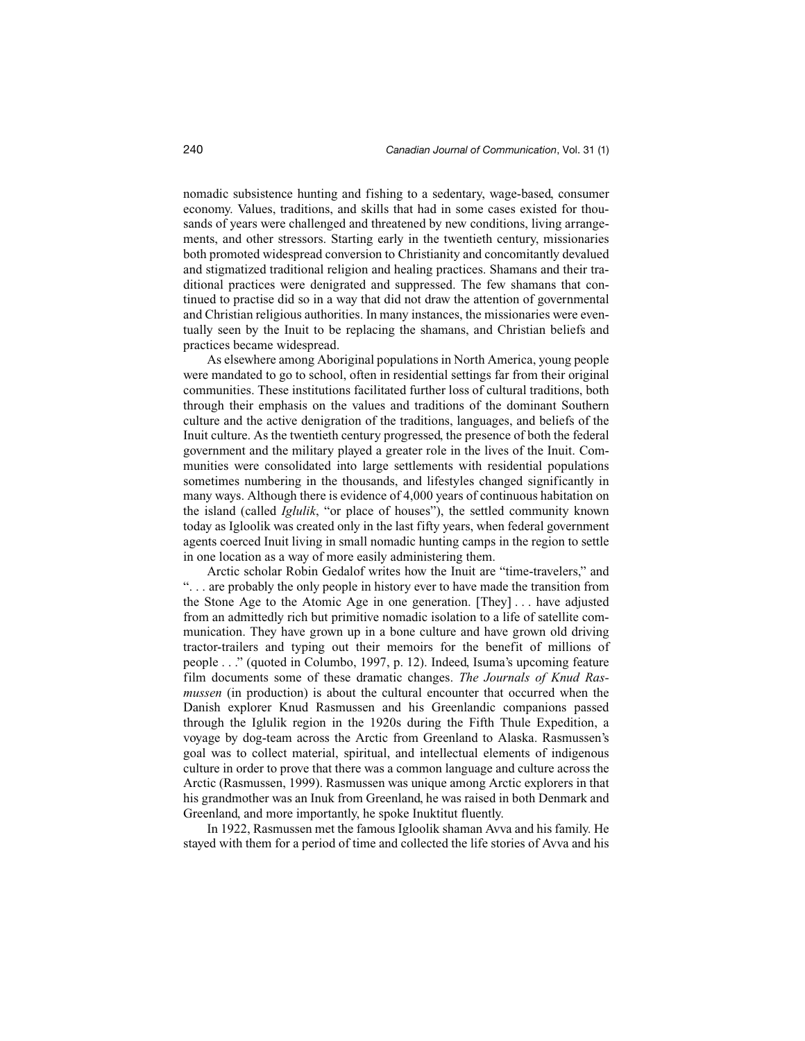nomadic subsistence hunting and fishing to a sedentary, wage-based, consumer economy. Values, traditions, and skills that had in some cases existed for thousands of years were challenged and threatened by new conditions, living arrangements, and other stressors. Starting early in the twentieth century, missionaries both promoted widespread conversion to Christianity and concomitantly devalued and stigmatized traditional religion and healing practices. Shamans and their traditional practices were denigrated and suppressed. The few shamans that continued to practise did so in a way that did not draw the attention of governmental and Christian religious authorities. In many instances, the missionaries were eventually seen by the Inuit to be replacing the shamans, and Christian beliefs and practices became widespread.

As elsewhere among Aboriginal populations in North America, young people were mandated to go to school, often in residential settings far from their original communities. These institutions facilitated further loss of cultural traditions, both through their emphasis on the values and traditions of the dominant Southern culture and the active denigration of the traditions, languages, and beliefs of the Inuit culture. As the twentieth century progressed, the presence of both the federal government and the military played a greater role in the lives of the Inuit. Communities were consolidated into large settlements with residential populations sometimes numbering in the thousands, and lifestyles changed significantly in many ways. Although there is evidence of 4,000 years of continuous habitation on the island (called *Iglulik*, "or place of houses"), the settled community known today as Igloolik was created only in the last fifty years, when federal government agents coerced Inuit living in small nomadic hunting camps in the region to settle in one location as a way of more easily administering them.

Arctic scholar Robin Gedalof writes how the Inuit are "time-travelers," and ". . . are probably the only people in history ever to have made the transition from the Stone Age to the Atomic Age in one generation. [They] . . . have adjusted from an admittedly rich but primitive nomadic isolation to a life of satellite communication. They have grown up in a bone culture and have grown old driving tractor-trailers and typing out their memoirs for the benefit of millions of people . . ." (quoted in Columbo, 1997, p. 12). Indeed, Isuma's upcoming feature film documents some of these dramatic changes. *The Journals of Knud Rasmussen* (in production) is about the cultural encounter that occurred when the Danish explorer Knud Rasmussen and his Greenlandic companions passed through the Iglulik region in the 1920s during the Fifth Thule Expedition, a voyage by dog-team across the Arctic from Greenland to Alaska. Rasmussen's goal was to collect material, spiritual, and intellectual elements of indigenous culture in order to prove that there was a common language and culture across the Arctic (Rasmussen, 1999). Rasmussen was unique among Arctic explorers in that his grandmother was an Inuk from Greenland, he was raised in both Denmark and Greenland, and more importantly, he spoke Inuktitut fluently.

In 1922, Rasmussen met the famous Igloolik shaman Avva and his family. He stayed with them for a period of time and collected the life stories of Avva and his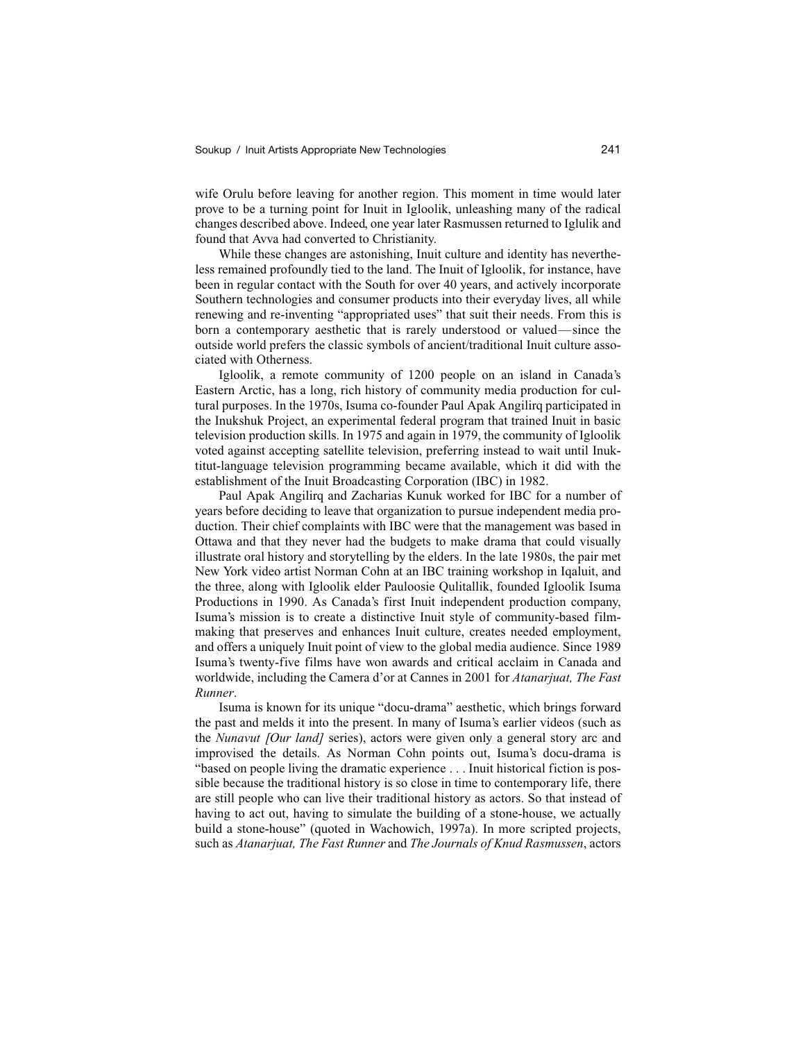wife Orulu before leaving for another region. This moment in time would later prove to be a turning point for Inuit in Igloolik, unleashing many of the radical changes described above. Indeed, one year later Rasmussen returned to Iglulik and found that Avva had converted to Christianity.

While these changes are astonishing, Inuit culture and identity has nevertheless remained profoundly tied to the land. The Inuit of Igloolik, for instance, have been in regular contact with the South for over 40 years, and actively incorporate Southern technologies and consumer products into their everyday lives, all while renewing and re-inventing "appropriated uses" that suit their needs. From this is born a contemporary aesthetic that is rarely understood or valued—since the outside world prefers the classic symbols of ancient/traditional Inuit culture associated with Otherness.

Igloolik, a remote community of 1200 people on an island in Canada's Eastern Arctic, has a long, rich history of community media production for cultural purposes. In the 1970s, Isuma co-founder Paul Apak Angilirq participated in the Inukshuk Project, an experimental federal program that trained Inuit in basic television production skills. In 1975 and again in 1979, the community of Igloolik voted against accepting satellite television, preferring instead to wait until Inuktitut-language television programming became available, which it did with the establishment of the Inuit Broadcasting Corporation (IBC) in 1982.

Paul Apak Angilirq and Zacharias Kunuk worked for IBC for a number of years before deciding to leave that organization to pursue independent media production. Their chief complaints with IBC were that the management was based in Ottawa and that they never had the budgets to make drama that could visually illustrate oral history and storytelling by the elders. In the late 1980s, the pair met New York video artist Norman Cohn at an IBC training workshop in Iqaluit, and the three, along with Igloolik elder Pauloosie Qulitallik, founded Igloolik Isuma Productions in 1990. As Canada's first Inuit independent production company, Isuma's mission is to create a distinctive Inuit style of community-based filmmaking that preserves and enhances Inuit culture, creates needed employment, and offers a uniquely Inuit point of view to the global media audience. Since 1989 Isuma's twenty-five films have won awards and critical acclaim in Canada and worldwide, including the Camera d'or at Cannes in 2001 for *Atanarjuat, The Fast Runner*.

Isuma is known for its unique "docu-drama" aesthetic, which brings forward the past and melds it into the present. In many of Isuma's earlier videos (such as the *Nunavut [Our land]* series), actors were given only a general story arc and improvised the details. As Norman Cohn points out, Isuma's docu-drama is "based on people living the dramatic experience . . . Inuit historical fiction is possible because the traditional history is so close in time to contemporary life, there are still people who can live their traditional history as actors. So that instead of having to act out, having to simulate the building of a stone-house, we actually build a stone-house" (quoted in Wachowich, 1997a). In more scripted projects, such as *Atanarjuat, The Fast Runner* and *The Journals of Knud Rasmussen*, actors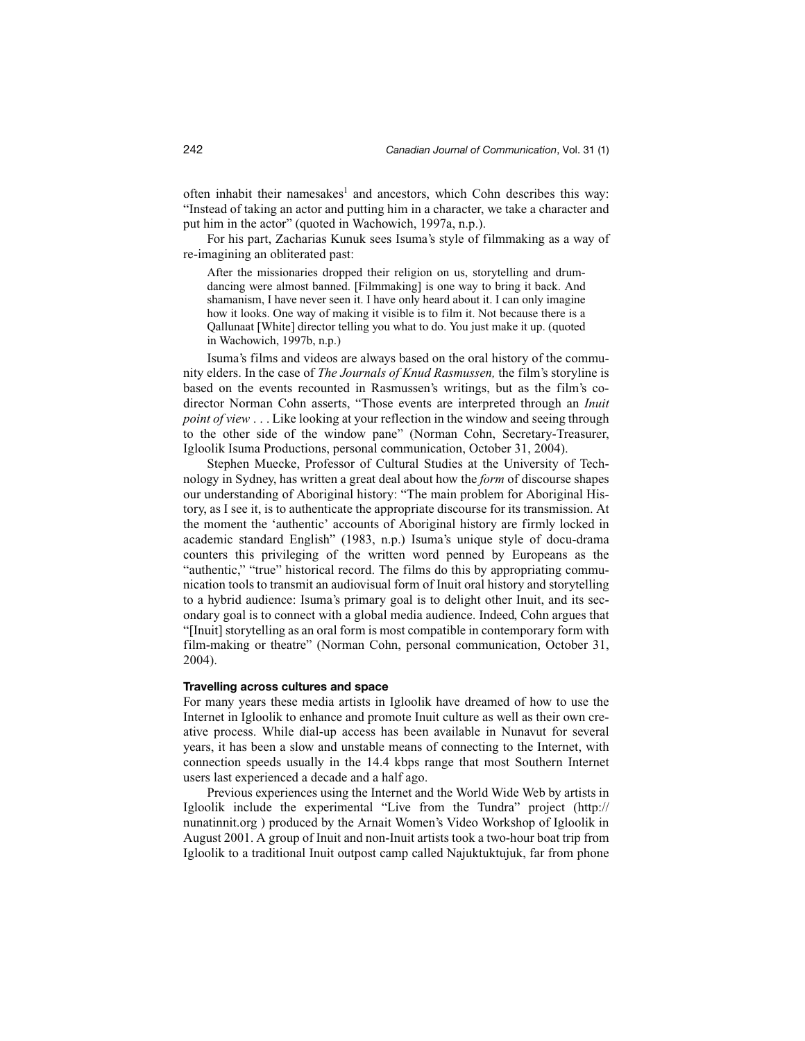often inhabit their namesakes<sup>1</sup> and ancestors, which Cohn describes this way: "Instead of taking an actor and putting him in a character, we take a character and put him in the actor" (quoted in Wachowich, 1997a, n.p.).

For his part, Zacharias Kunuk sees Isuma's style of filmmaking as a way of re-imagining an obliterated past:

After the missionaries dropped their religion on us, storytelling and drumdancing were almost banned. [Filmmaking] is one way to bring it back. And shamanism, I have never seen it. I have only heard about it. I can only imagine how it looks. One way of making it visible is to film it. Not because there is a Qallunaat [White] director telling you what to do. You just make it up. (quoted in Wachowich, 1997b, n.p.)

Isuma's films and videos are always based on the oral history of the community elders. In the case of *The Journals of Knud Rasmussen,* the film's storyline is based on the events recounted in Rasmussen's writings, but as the film's codirector Norman Cohn asserts, "Those events are interpreted through an *Inuit point of view* . . . Like looking at your reflection in the window and seeing through to the other side of the window pane" (Norman Cohn, Secretary-Treasurer, Igloolik Isuma Productions, personal communication, October 31, 2004).

Stephen Muecke, Professor of Cultural Studies at the University of Technology in Sydney, has written a great deal about how the *form* of discourse shapes our understanding of Aboriginal history: "The main problem for Aboriginal History, as I see it, is to authenticate the appropriate discourse for its transmission. At the moment the 'authentic' accounts of Aboriginal history are firmly locked in academic standard English" (1983, n.p.) Isuma's unique style of docu-drama counters this privileging of the written word penned by Europeans as the "authentic," "true" historical record. The films do this by appropriating communication tools to transmit an audiovisual form of Inuit oral history and storytelling to a hybrid audience: Isuma's primary goal is to delight other Inuit, and its secondary goal is to connect with a global media audience. Indeed, Cohn argues that "[Inuit] storytelling as an oral form is most compatible in contemporary form with film-making or theatre" (Norman Cohn, personal communication, October 31, 2004).

### **Travelling across cultures and space**

For many years these media artists in Igloolik have dreamed of how to use the Internet in Igloolik to enhance and promote Inuit culture as well as their own creative process. While dial-up access has been available in Nunavut for several years, it has been a slow and unstable means of connecting to the Internet, with connection speeds usually in the 14.4 kbps range that most Southern Internet users last experienced a decade and a half ago.

Previous experiences using the Internet and the World Wide Web by artists in Igloolik include the experimental "Live from the Tundra" project (http:// nunatinnit.org ) produced by the Arnait Women's Video Workshop of Igloolik in August 2001. A group of Inuit and non-Inuit artists took a two-hour boat trip from Igloolik to a traditional Inuit outpost camp called Najuktuktujuk, far from phone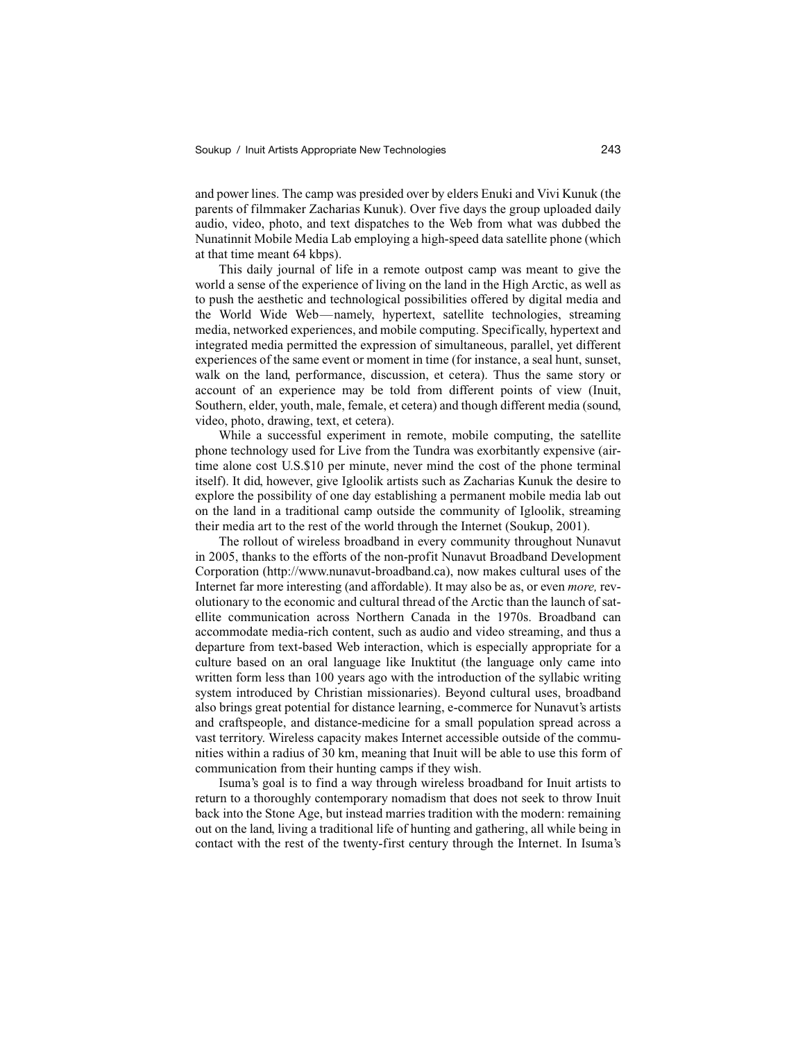and power lines. The camp was presided over by elders Enuki and Vivi Kunuk (the parents of filmmaker Zacharias Kunuk). Over five days the group uploaded daily audio, video, photo, and text dispatches to the Web from what was dubbed the Nunatinnit Mobile Media Lab employing a high-speed data satellite phone (which at that time meant 64 kbps).

This daily journal of life in a remote outpost camp was meant to give the world a sense of the experience of living on the land in the High Arctic, as well as to push the aesthetic and technological possibilities offered by digital media and the World Wide Web—namely, hypertext, satellite technologies, streaming media, networked experiences, and mobile computing. Specifically, hypertext and integrated media permitted the expression of simultaneous, parallel, yet different experiences of the same event or moment in time (for instance, a seal hunt, sunset, walk on the land, performance, discussion, et cetera). Thus the same story or account of an experience may be told from different points of view (Inuit, Southern, elder, youth, male, female, et cetera) and though different media (sound, video, photo, drawing, text, et cetera).

While a successful experiment in remote, mobile computing, the satellite phone technology used for Live from the Tundra was exorbitantly expensive (airtime alone cost U.S.\$10 per minute, never mind the cost of the phone terminal itself). It did, however, give Igloolik artists such as Zacharias Kunuk the desire to explore the possibility of one day establishing a permanent mobile media lab out on the land in a traditional camp outside the community of Igloolik, streaming their media art to the rest of the world through the Internet (Soukup, 2001).

The rollout of wireless broadband in every community throughout Nunavut in 2005, thanks to the efforts of the non-profit Nunavut Broadband Development Corporation (http://www.nunavut-broadband.ca), now makes cultural uses of the Internet far more interesting (and affordable). It may also be as, or even *more,* revolutionary to the economic and cultural thread of the Arctic than the launch of satellite communication across Northern Canada in the 1970s. Broadband can accommodate media-rich content, such as audio and video streaming, and thus a departure from text-based Web interaction, which is especially appropriate for a culture based on an oral language like Inuktitut (the language only came into written form less than 100 years ago with the introduction of the syllabic writing system introduced by Christian missionaries). Beyond cultural uses, broadband also brings great potential for distance learning, e-commerce for Nunavut's artists and craftspeople, and distance-medicine for a small population spread across a vast territory. Wireless capacity makes Internet accessible outside of the communities within a radius of 30 km, meaning that Inuit will be able to use this form of communication from their hunting camps if they wish.

Isuma's goal is to find a way through wireless broadband for Inuit artists to return to a thoroughly contemporary nomadism that does not seek to throw Inuit back into the Stone Age, but instead marries tradition with the modern: remaining out on the land, living a traditional life of hunting and gathering, all while being in contact with the rest of the twenty-first century through the Internet. In Isuma's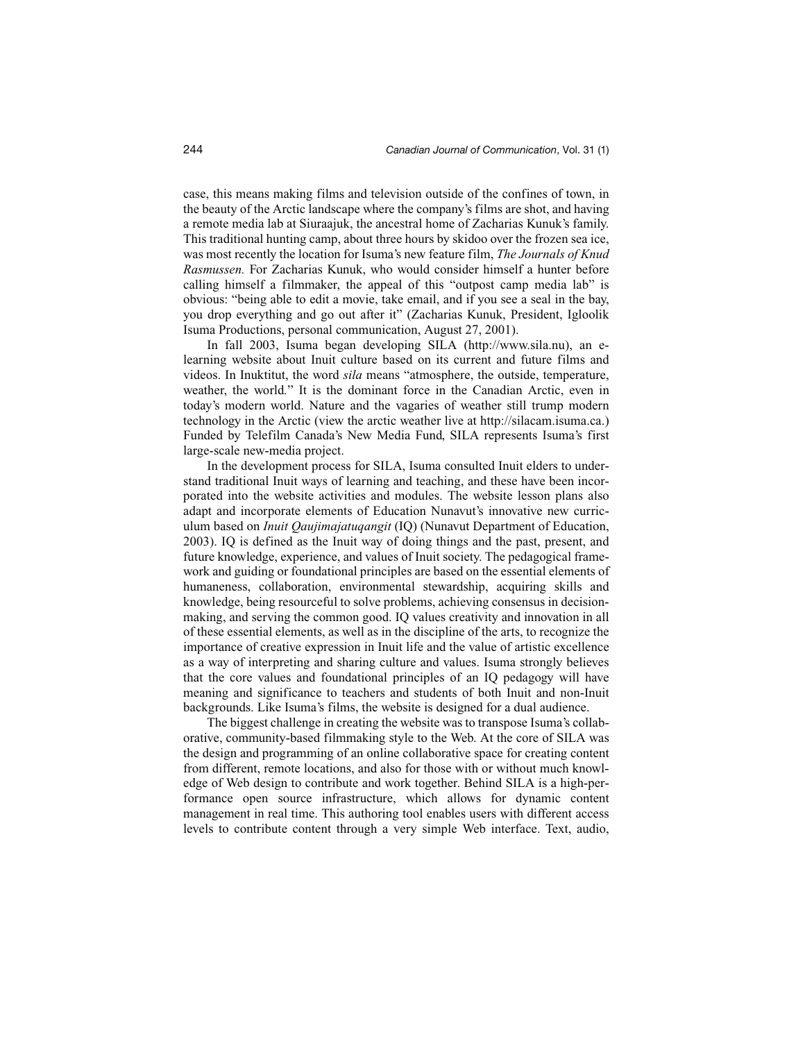case, this means making films and television outside of the confines of town, in the beauty of the Arctic landscape where the company's films are shot, and having a remote media lab at Siuraajuk, the ancestral home of Zacharias Kunuk's family. This traditional hunting camp, about three hours by skidoo over the frozen sea ice, was most recently the location for Isuma's new feature film, *The Journals of Knud Rasmussen.* For Zacharias Kunuk, who would consider himself a hunter before calling himself a filmmaker, the appeal of this "outpost camp media lab" is obvious: "being able to edit a movie, take email, and if you see a seal in the bay, you drop everything and go out after it" (Zacharias Kunuk, President, Igloolik Isuma Productions, personal communication, August 27, 2001).

In fall 2003, Isuma began developing SILA (http://www.sila.nu), an elearning website about Inuit culture based on its current and future films and videos. In Inuktitut, the word *sila* means "atmosphere, the outside, temperature, weather, the world*.*" It is the dominant force in the Canadian Arctic, even in today's modern world. Nature and the vagaries of weather still trump modern technology in the Arctic (view the arctic weather live at http://silacam.isuma.ca.) Funded by Telefilm Canada's New Media Fund, SILA represents Isuma's first large-scale new-media project.

In the development process for SILA, Isuma consulted Inuit elders to understand traditional Inuit ways of learning and teaching, and these have been incorporated into the website activities and modules. The website lesson plans also adapt and incorporate elements of Education Nunavut's innovative new curriculum based on *Inuit Qaujimajatuqangit* (IQ) (Nunavut Department of Education, 2003). IQ is defined as the Inuit way of doing things and the past, present, and future knowledge, experience, and values of Inuit society. The pedagogical framework and guiding or foundational principles are based on the essential elements of humaneness, collaboration, environmental stewardship, acquiring skills and knowledge, being resourceful to solve problems, achieving consensus in decisionmaking, and serving the common good. IQ values creativity and innovation in all of these essential elements, as well as in the discipline of the arts, to recognize the importance of creative expression in Inuit life and the value of artistic excellence as a way of interpreting and sharing culture and values. Isuma strongly believes that the core values and foundational principles of an IQ pedagogy will have meaning and significance to teachers and students of both Inuit and non-Inuit backgrounds. Like Isuma's films, the website is designed for a dual audience.

The biggest challenge in creating the website was to transpose Isuma's collaborative, community-based filmmaking style to the Web. At the core of SILA was the design and programming of an online collaborative space for creating content from different, remote locations, and also for those with or without much knowledge of Web design to contribute and work together. Behind SILA is a high-performance open source infrastructure, which allows for dynamic content management in real time. This authoring tool enables users with different access levels to contribute content through a very simple Web interface. Text, audio,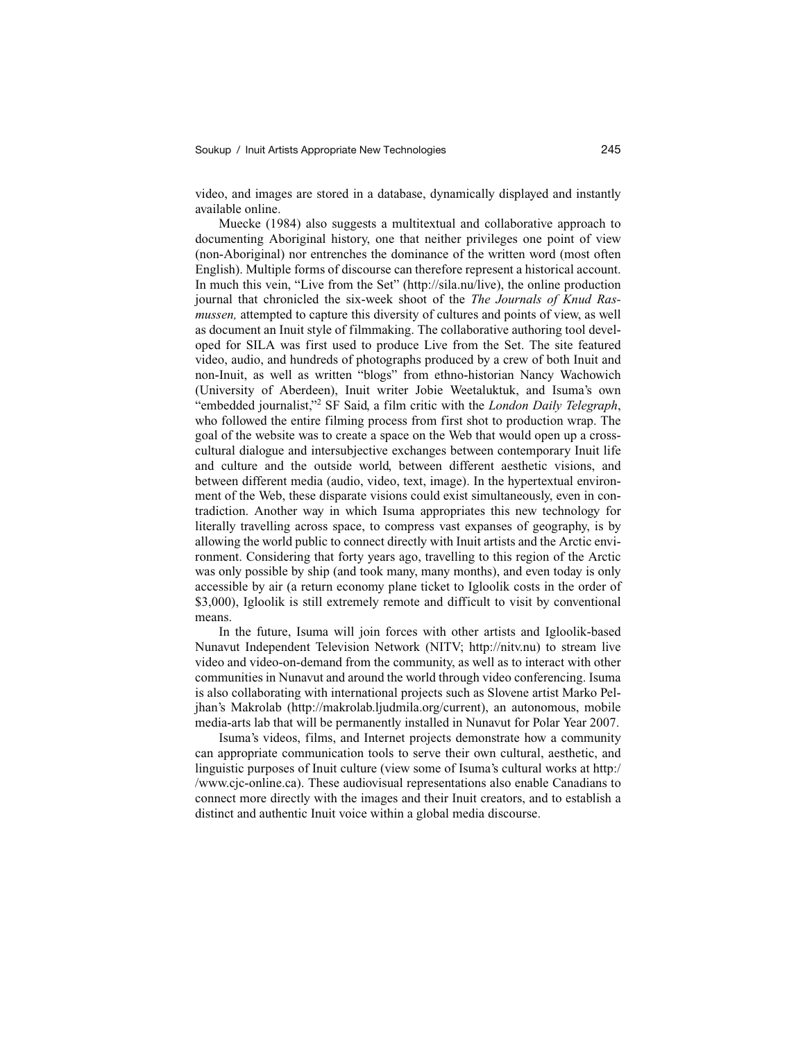video, and images are stored in a database, dynamically displayed and instantly available online.

Muecke (1984) also suggests a multitextual and collaborative approach to documenting Aboriginal history, one that neither privileges one point of view (non-Aboriginal) nor entrenches the dominance of the written word (most often English). Multiple forms of discourse can therefore represent a historical account. In much this vein, "Live from the Set" (http://sila.nu/live), the online production journal that chronicled the six-week shoot of the *The Journals of Knud Rasmussen,* attempted to capture this diversity of cultures and points of view, as well as document an Inuit style of filmmaking. The collaborative authoring tool developed for SILA was first used to produce Live from the Set. The site featured video, audio, and hundreds of photographs produced by a crew of both Inuit and non-Inuit, as well as written "blogs" from ethno-historian Nancy Wachowich (University of Aberdeen), Inuit writer Jobie Weetaluktuk, and Isuma's own "embedded journalist,"2 SF Said, a film critic with the *London Daily Telegraph*, who followed the entire filming process from first shot to production wrap. The goal of the website was to create a space on the Web that would open up a crosscultural dialogue and intersubjective exchanges between contemporary Inuit life and culture and the outside world, between different aesthetic visions, and between different media (audio, video, text, image). In the hypertextual environment of the Web, these disparate visions could exist simultaneously, even in contradiction. Another way in which Isuma appropriates this new technology for literally travelling across space, to compress vast expanses of geography, is by allowing the world public to connect directly with Inuit artists and the Arctic environment. Considering that forty years ago, travelling to this region of the Arctic was only possible by ship (and took many, many months), and even today is only accessible by air (a return economy plane ticket to Igloolik costs in the order of \$3,000), Igloolik is still extremely remote and difficult to visit by conventional means.

In the future, Isuma will join forces with other artists and Igloolik-based Nunavut Independent Television Network (NITV; http://nitv.nu) to stream live video and video-on-demand from the community, as well as to interact with other communities in Nunavut and around the world through video conferencing. Isuma is also collaborating with international projects such as Slovene artist Marko Peljhan's Makrolab (http://makrolab.ljudmila.org/current), an autonomous, mobile media-arts lab that will be permanently installed in Nunavut for Polar Year 2007.

Isuma's videos, films, and Internet projects demonstrate how a community can appropriate communication tools to serve their own cultural, aesthetic, and linguistic purposes of Inuit culture (view some of Isuma's cultural works at http:/ /www.cjc-online.ca). These audiovisual representations also enable Canadians to connect more directly with the images and their Inuit creators, and to establish a distinct and authentic Inuit voice within a global media discourse.